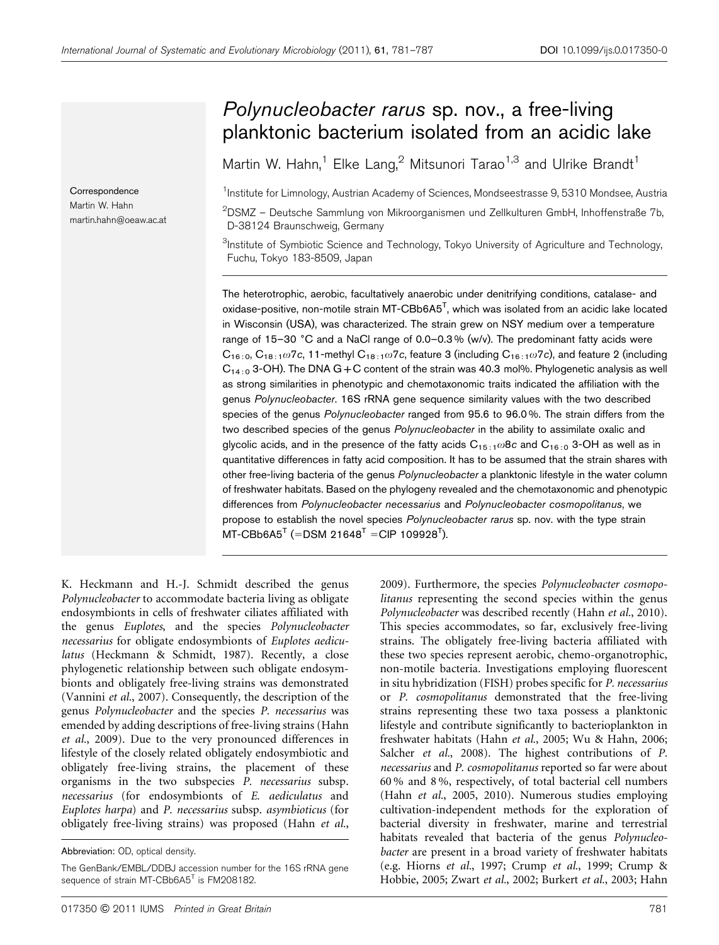**Correspondence** Martin W. Hahn martin.hahn@oeaw.ac.at

# Polynucleobacter rarus sp. nov., a free-living planktonic bacterium isolated from an acidic lake

Martin W. Hahn,<sup>1</sup> Elke Lang,<sup>2</sup> Mitsunori Tarao<sup>1,3</sup> and Ulrike Brandt<sup>1</sup>

<sup>1</sup>Institute for Limnology, Austrian Academy of Sciences, Mondseestrasse 9, 5310 Mondsee, Austria

 $^{2}$ DSMZ – Deutsche Sammlung von Mikroorganismen und Zellkulturen GmbH, Inhoffenstraße 7b, D-38124 Braunschweig, Germany

 ${}^{3}$ Institute of Symbiotic Science and Technology, Tokyo University of Agriculture and Technology, Fuchu, Tokyo 183-8509, Japan

The heterotrophic, aerobic, facultatively anaerobic under denitrifying conditions, catalase- and oxidase-positive, non-motile strain MT- $C\text{Bb6A5}^\text{T}$ , which was isolated from an acidic lake located in Wisconsin (USA), was characterized. The strain grew on NSY medium over a temperature range of 15–30 °C and a NaCl range of  $0.0-0.3$ % (w/v). The predominant fatty acids were  $C_{16:0}$ ,  $C_{18:1}$   $\omega$  7c, 11-methyl  $C_{18:1}$   $\omega$  7c, feature 3 (including  $C_{16:1}$   $\omega$  7c), and feature 2 (including  $C_{14:0}$  3-OH). The DNA G + C content of the strain was 40.3 mol%. Phylogenetic analysis as well as strong similarities in phenotypic and chemotaxonomic traits indicated the affiliation with the genus Polynucleobacter. 16S rRNA gene sequence similarity values with the two described species of the genus Polynucleobacter ranged from 95.6 to 96.0%. The strain differs from the two described species of the genus Polynucleobacter in the ability to assimilate oxalic and glycolic acids, and in the presence of the fatty acids  $C_{15/1}\omega$ 8c and  $C_{16/0}$  3-OH as well as in quantitative differences in fatty acid composition. It has to be assumed that the strain shares with other free-living bacteria of the genus Polynucleobacter a planktonic lifestyle in the water column of freshwater habitats. Based on the phylogeny revealed and the chemotaxonomic and phenotypic differences from Polynucleobacter necessarius and Polynucleobacter cosmopolitanus, we propose to establish the novel species Polynucleobacter rarus sp. nov. with the type strain  $MT\text{-}C\text{Bb6A5}^{\text{T}}$  (=DSM 21648 $^{\text{T}}$  =CIP 109928 $^{\text{T}}$ ).

K. Heckmann and H.-J. Schmidt described the genus Polynucleobacter to accommodate bacteria living as obligate endosymbionts in cells of freshwater ciliates affiliated with the genus Euplotes, and the species Polynucleobacter necessarius for obligate endosymbionts of Euplotes aediculatus [\(Heckmann & Schmidt, 1987\)](#page-5-0). Recently, a close phylogenetic relationship between such obligate endosymbionts and obligately free-living strains was demonstrated ([Vannini](#page-6-0) et al., 2007). Consequently, the description of the genus Polynucleobacter and the species P. necessarius was emended by adding descriptions of free-living strains [\(Hahn](#page-5-0) et al.[, 2009\)](#page-5-0). Due to the very pronounced differences in lifestyle of the closely related obligately endosymbiotic and obligately free-living strains, the placement of these organisms in the two subspecies P. necessarius subsp. necessarius (for endosymbionts of E. aediculatus and Euplotes harpa) and P. necessarius subsp. asymbioticus (for obligately free-living strains) was proposed [\(Hahn](#page-5-0) et al.,

[2009\)](#page-5-0). Furthermore, the species Polynucleobacter cosmopolitanus representing the second species within the genus Polynucleobacter was described recently (Hahn et al.[, 2010\)](#page-5-0). This species accommodates, so far, exclusively free-living strains. The obligately free-living bacteria affiliated with these two species represent aerobic, chemo-organotrophic, non-motile bacteria. Investigations employing fluorescent in situ hybridization (FISH) probes specific for P. necessarius or P. cosmopolitanus demonstrated that the free-living strains representing these two taxa possess a planktonic lifestyle and contribute significantly to bacterioplankton in freshwater habitats (Hahn et al.[, 2005;](#page-5-0) [Wu & Hahn, 2006;](#page-6-0) [Salcher](#page-6-0) et al., 2008). The highest contributions of P. necessarius and P. cosmopolitanus reported so far were about 60 % and 8 %, respectively, of total bacterial cell numbers (Hahn et al.[, 2005, 2010\)](#page-5-0). Numerous studies employing cultivation-independent methods for the exploration of bacterial diversity in freshwater, marine and terrestrial habitats revealed that bacteria of the genus Polynucleobacter are present in a broad variety of freshwater habitats (e.g. [Hiorns](#page-5-0) et al., 1997; [Crump](#page-5-0) et al., 1999; [Crump &](#page-5-0) [Hobbie, 2005;](#page-5-0) Zwart et al.[, 2002;](#page-6-0) [Burkert](#page-5-0) et al., 2003; [Hahn](#page-5-0)

Abbreviation: OD, optical density.

The GenBank/EMBL/DDBJ accession number for the 16S rRNA gene sequence of strain MT-CBb6A5<sup>T</sup> is FM208182.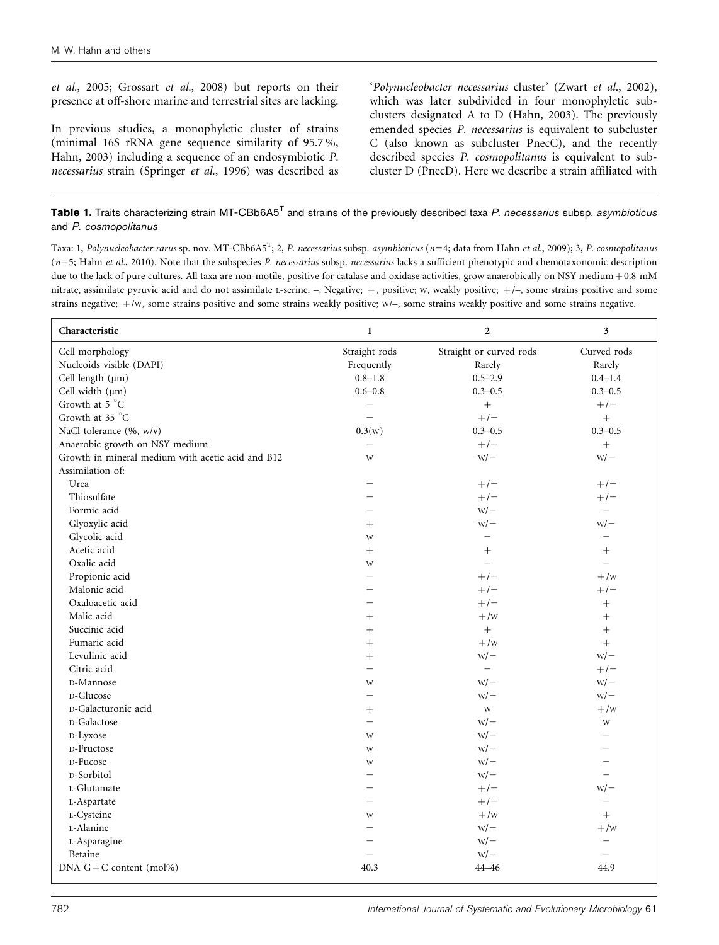<span id="page-1-0"></span>et al.[, 2005](#page-5-0); [Grossart](#page-5-0) et al., 2008) but reports on their presence at off-shore marine and terrestrial sites are lacking.

In previous studies, a monophyletic cluster of strains (minimal 16S rRNA gene sequence similarity of 95.7 %, [Hahn, 2003\)](#page-5-0) including a sequence of an endosymbiotic P. necessarius strain [\(Springer](#page-6-0) et al., 1996) was described as 'Polynucleobacter necessarius cluster' (Zwart et al.[, 2002](#page-6-0)), which was later subdivided in four monophyletic subclusters designated A to D ([Hahn, 2003](#page-5-0)). The previously emended species P. necessarius is equivalent to subcluster C (also known as subcluster PnecC), and the recently described species P. cosmopolitanus is equivalent to subcluster D (PnecD). Here we describe a strain affiliated with

#### Table 1. Traits characterizing strain MT-CBb6A5<sup>T</sup> and strains of the previously described taxa P. necessarius subsp. asymbioticus and P. cosmopolitanus

Taxa: 1, Polynucleobacter rarus sp. nov. MT-CBb6A5<sup>T</sup>; 2, P. necessarius subsp. asymbioticus (n=4; data from Hahn et al.[, 2009](#page-5-0)); 3, P. cosmopolitanus  $(n=5;$  Hahn et al.[, 2010\)](#page-5-0). Note that the subspecies P. necessarius subsp. necessarius lacks a sufficient phenotypic and chemotaxonomic description due to the lack of pure cultures. All taxa are non-motile, positive for catalase and oxidase activities, grow anaerobically on NSY medium +0.8 mM nitrate, assimilate pyruvic acid and do not assimilate L-serine. –, Negative; +, positive; W, weakly positive; +/–, some strains positive and some strains negative; +/W, some strains positive and some strains weakly positive; W/–, some strains weakly positive and some strains negative.

| Characteristic                                    | $\mathbf{1}$             | $\overline{2}$          | $\mathbf{3}$             |
|---------------------------------------------------|--------------------------|-------------------------|--------------------------|
| Cell morphology                                   | Straight rods            | Straight or curved rods | Curved rods              |
| Nucleoids visible (DAPI)                          | Frequently               | Rarely                  | Rarely                   |
| Cell length $(\mu m)$                             | $0.8 - 1.8$              | $0.5 - 2.9$             | $0.4 - 1.4$              |
| Cell width $(\mu m)$                              | $0.6 - 0.8$              | $0.3 - 0.5$             | $0.3 - 0.5$              |
| Growth at 5 °C                                    | $\equiv$                 | $\ddot{}$               | $+/-$                    |
| Growth at 35 °C                                   | $\equiv$                 | $+/-$                   | $+$                      |
| NaCl tolerance (%, w/v)                           | 0.3(w)                   | $0.3 - 0.5$             | $0.3 - 0.5$              |
| Anaerobic growth on NSY medium                    |                          | $+/-$                   | $+$                      |
| Growth in mineral medium with acetic acid and B12 | W                        | $W$ /-                  | $W$ /-                   |
| Assimilation of:                                  |                          |                         |                          |
| Urea                                              |                          | $+/-$                   | $+/-$                    |
| Thiosulfate                                       | $\equiv$                 | $+/-$                   | $+/-$                    |
| Formic acid                                       | $\equiv$                 | $W$ /-                  | $\overline{\phantom{0}}$ |
| Glyoxylic acid                                    | $^{+}$                   | $W$ /-                  | $W$ /-                   |
| Glycolic acid                                     | W                        | $\equiv$                | $\equiv$                 |
| Acetic acid                                       | $^{+}$                   | $^{+}$                  | $^{+}$                   |
| Oxalic acid                                       | W                        | $\equiv$                | $\equiv$                 |
| Propionic acid                                    | $\overline{\phantom{0}}$ | $+/-$                   | $+$ /w                   |
| Malonic acid                                      |                          | $+/-$                   | $+/-$                    |
| Oxaloacetic acid                                  |                          | $+/-$                   | $^{+}$                   |
| Malic acid                                        | $^{+}$                   | $+$ /w                  | $^{+}$                   |
| Succinic acid                                     | $^{+}$                   |                         | $^{+}$                   |
| Fumaric acid                                      | $^{+}$                   | $+/w$                   | $\boldsymbol{+}$         |
| Levulinic acid                                    | $^{+}$                   | $W$ /-                  | $W$ / $-$                |
| Citric acid                                       |                          |                         | $+/-$                    |
| D-Mannose                                         | W                        | $W$ /-                  | $W$ / $-$                |
| D-Glucose                                         |                          | $W$ /-                  | $W$ /-                   |
| D-Galacturonic acid                               | $^{+}$                   | W                       | $+/w$                    |
| D-Galactose                                       | $\overline{\phantom{0}}$ | $W$ /-                  | W                        |
| D-Lyxose                                          | W                        | $W$ /-                  |                          |
| D-Fructose                                        | W                        | $W$ /-                  |                          |
| D-Fucose                                          | W                        | $W$ /-                  |                          |
| D-Sorbitol                                        | $\overline{\phantom{0}}$ | $W$ /-                  |                          |
| L-Glutamate                                       | $\equiv$                 | $+/-$                   | $W$ /-                   |
| L-Aspartate                                       |                          | $+/-$                   | $\qquad \qquad -$        |
| L-Cysteine                                        | W                        | $+$ /w                  | $^{+}$                   |
| L-Alanine                                         |                          | $W$ /-                  | $+/w$                    |
| L-Asparagine                                      |                          | $W$ /-                  | $\equiv$                 |
| Betaine                                           | $\overline{\phantom{0}}$ | $W$ /-                  | $\overline{\phantom{0}}$ |
| DNA $G + C$ content (mol%)                        | 40.3                     | $44 - 46$               | 44.9                     |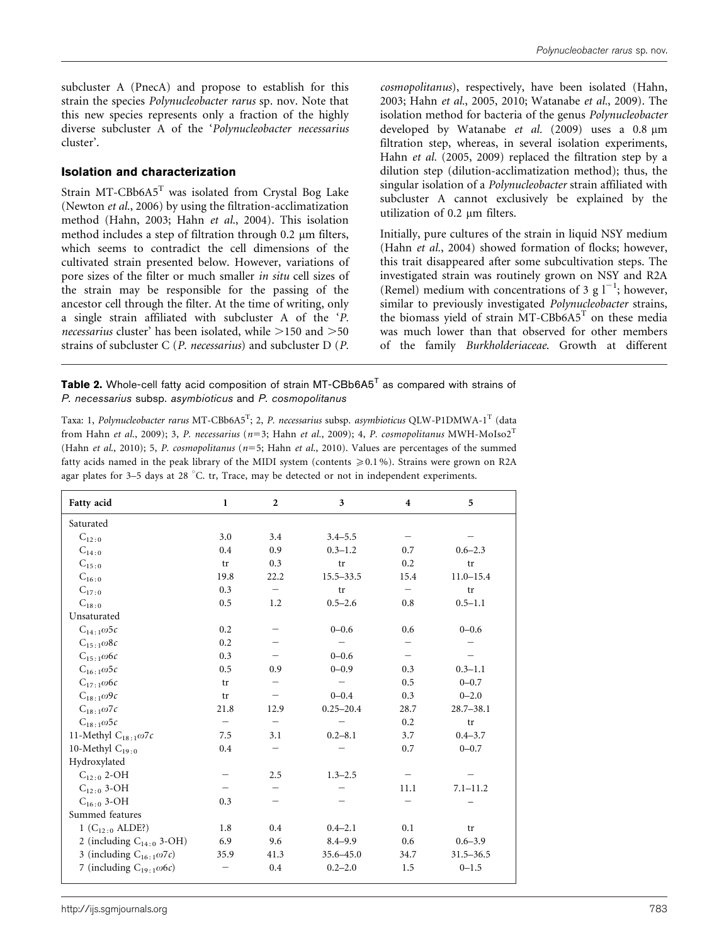<span id="page-2-0"></span>subcluster A (PnecA) and propose to establish for this strain the species Polynucleobacter rarus sp. nov. Note that this new species represents only a fraction of the highly diverse subcluster A of the 'Polynucleobacter necessarius cluster'.

#### Isolation and characterization

Strain MT-CBb6A5<sup>T</sup> was isolated from Crystal Bog Lake ([Newton](#page-6-0) et al., 2006) by using the filtration-acclimatization method [\(Hahn, 2003](#page-5-0); Hahn et al.[, 2004](#page-5-0)). This isolation method includes a step of filtration through  $0.2 \mu m$  filters, which seems to contradict the cell dimensions of the cultivated strain presented below. However, variations of pore sizes of the filter or much smaller in situ cell sizes of the strain may be responsible for the passing of the ancestor cell through the filter. At the time of writing, only a single strain affiliated with subcluster A of the 'P. necessarius cluster' has been isolated, while  $>150$  and  $>50$ strains of subcluster C (P. necessarius) and subcluster D (P.

cosmopolitanus), respectively, have been isolated ([Hahn,](#page-5-0) [2003;](#page-5-0) Hahn et al.[, 2005, 2010;](#page-5-0) [Watanabe](#page-6-0) et al., 2009). The isolation method for bacteria of the genus Polynucleobacter developed by [Watanabe](#page-6-0) et al.  $(2009)$  uses a 0.8  $\mu$ m filtration step, whereas, in several isolation experiments, Hahn et al. [\(2005, 2009\)](#page-5-0) replaced the filtration step by a dilution step (dilution-acclimatization method); thus, the singular isolation of a Polynucleobacter strain affiliated with subcluster A cannot exclusively be explained by the utilization of 0.2 um filters.

Initially, pure cultures of the strain in liquid NSY medium (Hahn et al.[, 2004](#page-5-0)) showed formation of flocks; however, this trait disappeared after some subcultivation steps. The investigated strain was routinely grown on NSY and R2A (Remel) medium with concentrations of 3 g  $1^{-1}$ ; however, similar to previously investigated Polynucleobacter strains, the biomass yield of strain  $MT$ -CBb6A5<sup>T</sup> on these media was much lower than that observed for other members of the family Burkholderiaceae. Growth at different

**Table 2.** Whole-cell fatty acid composition of strain MT-CBb6A5<sup>T</sup> as compared with strains of P. necessarius subsp. asymbioticus and P. cosmopolitanus

Taxa: 1, *Polynucleobacter rarus* MT-CBb6A5<sup>T</sup>; 2, *P. necessarius* subsp. *asymbioticus* QLW-P1DMWA-1<sup>T</sup> (data from Hahn et al.[, 2009\)](#page-5-0); 3, P. necessarius ( $n=3$ ; Hahn et al.[, 2009](#page-5-0)); 4, P. cosmopolitanus MWH-MoIso2<sup>T</sup> (Hahn et al[., 2010\)](#page-5-0); 5, P. cosmopolitanus ( $n=5$ ; Hahn et al[., 2010](#page-5-0)). Values are percentages of the summed fatty acids named in the peak library of the MIDI system (contents  $\geq 0.1\%$ ). Strains were grown on R2A agar plates for  $3-5$  days at  $28$  °C. tr, Trace, may be detected or not in independent experiments.

| Fatty acid                        | $\mathbf{1}$ | $\overline{2}$ | 3             | $\overline{\mathbf{4}}$ | 5             |
|-----------------------------------|--------------|----------------|---------------|-------------------------|---------------|
| Saturated                         |              |                |               |                         |               |
| $C_{12:0}$                        | 3.0          | 3.4            | $3.4 - 5.5$   |                         |               |
| $C_{14:0}$                        | 0.4          | 0.9            | $0.3 - 1.2$   | 0.7                     | $0.6 - 2.3$   |
| $C_{15:0}$                        | tr           | 0.3            | tr            | 0.2                     | tr            |
| $C_{16:0}$                        | 19.8         | 22.2           | $15.5 - 33.5$ | 15.4                    | $11.0 - 15.4$ |
| $C_{17:0}$                        | 0.3          |                | tr            |                         | tr            |
| $C_{18:0}$                        | 0.5          | 1.2            | $0.5 - 2.6$   | 0.8                     | $0.5 - 1.1$   |
| Unsaturated                       |              |                |               |                         |               |
| $C_{14:1}\omega$ 5c               | 0.2          |                | $0 - 0.6$     | 0.6                     | $0 - 0.6$     |
| $C_{15:1}\omega$ 8c               | 0.2          |                |               |                         |               |
| $C_{15:1}\omega$ 6c               | 0.3          |                | $0 - 0.6$     |                         |               |
| $C_{16:1}\omega$ 5c               | 0.5          | 0.9            | $0 - 0.9$     | 0.3                     | $0.3 - 1.1$   |
| $C_{17.1}\omega$ 6c               | tr           |                |               | 0.5                     | $0 - 0.7$     |
| $C_{18:1}\omega$ 9c               | tr           |                | $0 - 0.4$     | 0.3                     | $0 - 2.0$     |
| $C_{18:1}\omega$ 7c               | 21.8         | 12.9           | $0.25 - 20.4$ | 28.7                    | $28.7 - 38.1$ |
| $C_{18.1}\omega$ 5c               |              |                |               | 0.2                     | tr            |
| 11-Methyl $C_{18:1}\omega$ 7c     | 7.5          | 3.1            | $0.2 - 8.1$   | 3.7                     | $0.4 - 3.7$   |
| 10-Methyl $C_{19:0}$              | 0.4          |                |               | 0.7                     | $0 - 0.7$     |
| Hydroxylated                      |              |                |               |                         |               |
| $C_{12:0}$ 2-OH                   |              | 2.5            | $1.3 - 2.5$   |                         |               |
| $C_{12:0}$ 3-OH                   |              |                |               | 11.1                    | $7.1 - 11.2$  |
| $C_{16:0}$ 3-OH                   | 0.3          |                |               |                         |               |
| Summed features                   |              |                |               |                         |               |
| 1 ( $C_{12:0}$ ALDE?)             | 1.8          | 0.4            | $0.4 - 2.1$   | 0.1                     | tr            |
| 2 (including $C_{14:0}$ 3-OH)     | 6.9          | 9.6            | $8.4 - 9.9$   | 0.6                     | $0.6 - 3.9$   |
| 3 (including $C_{16:1}\omega$ 7c) | 35.9         | 41.3           | 35.6-45.0     | 34.7                    | $31.5 - 36.5$ |
| 7 (including $C_{19.1}\omega$ 6c) |              | 0.4            | $0.2 - 2.0$   | 1.5                     | $0 - 1.5$     |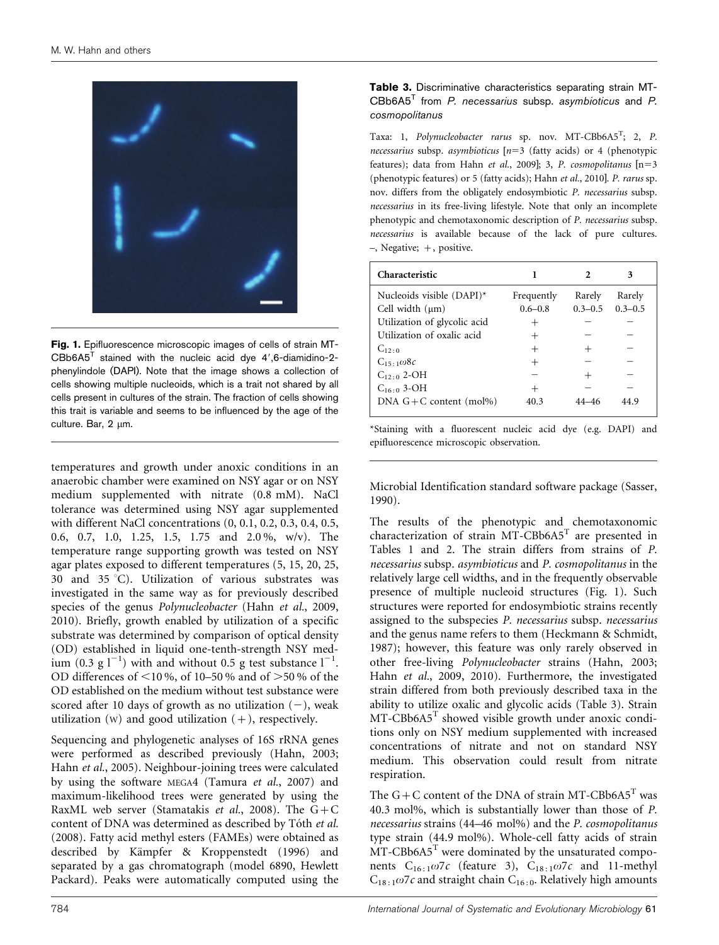<span id="page-3-0"></span>

Fig. 1. Epifluorescence microscopic images of cells of strain MT- $CBB6A5<sup>T</sup>$  stained with the nucleic acid dye 4',6-diamidino-2phenylindole (DAPI). Note that the image shows a collection of cells showing multiple nucleoids, which is a trait not shared by all cells present in cultures of the strain. The fraction of cells showing this trait is variable and seems to be influenced by the age of the culture. Bar, 2 µm.

temperatures and growth under anoxic conditions in an anaerobic chamber were examined on NSY agar or on NSY medium supplemented with nitrate (0.8 mM). NaCl tolerance was determined using NSY agar supplemented with different NaCl concentrations (0, 0.1, 0.2, 0.3, 0.4, 0.5, 0.6, 0.7, 1.0, 1.25, 1.5, 1.75 and 2.0 %, w/v). The temperature range supporting growth was tested on NSY agar plates exposed to different temperatures (5, 15, 20, 25, 30 and 35 °C). Utilization of various substrates was investigated in the same way as for previously described species of the genus Polynucleobacter (Hahn et al.[, 2009](#page-5-0), [2010](#page-5-0)). Briefly, growth enabled by utilization of a specific substrate was determined by comparison of optical density (OD) established in liquid one-tenth-strength NSY medium  $(0.3 \text{ g l}^{-1})$  with and without 0.5 g test substance  $l^{-1}$ . OD differences of  $\leq 10\%$ , of 10–50 % and of  $\geq 50\%$  of the OD established on the medium without test substance were scored after 10 days of growth as no utilization  $(-)$ , weak utilization  $(W)$  and good utilization  $(+)$ , respectively.

Sequencing and phylogenetic analyses of 16S rRNA genes were performed as described previously [\(Hahn, 2003](#page-5-0); Hahn et al.[, 2005\)](#page-5-0). Neighbour-joining trees were calculated by using the software MEGA4 ([Tamura](#page-6-0) et al., 2007) and maximum-likelihood trees were generated by using the RaxML web server ([Stamatakis](#page-6-0) et al., 2008). The  $G+C$ content of DNA was determined as described by Tóth et al. [\(2008\).](#page-6-0) Fatty acid methyl esters (FAMEs) were obtained as described by Kämpfer & Kroppenstedt (1996) and separated by a gas chromatograph (model 6890, Hewlett Packard). Peaks were automatically computed using the

### Table 3. Discriminative characteristics separating strain MT-CBb6A5T from P. necessarius subsp. asymbioticus and P. cosmopolitanus

Taxa: 1, Polynucleobacter rarus sp. nov. MT-CBb6A5<sup>T</sup>; 2, P. necessarius subsp. asymbioticus  $[n=3$  (fatty acids) or 4 (phenotypic features); data from Hahn et al.[, 2009](#page-5-0)]; 3, P. cosmopolitanus  $[n=3]$ (phenotypic features) or 5 (fatty acids); Hahn et al.[, 2010](#page-5-0)]. P. rarus sp. nov. differs from the obligately endosymbiotic P. necessarius subsp. necessarius in its free-living lifestyle. Note that only an incomplete phenotypic and chemotaxonomic description of P. necessarius subsp. necessarius is available because of the lack of pure cultures. –, Negative; +, positive.

| <b>Characteristic</b>        |             |             |             |
|------------------------------|-------------|-------------|-------------|
| Nucleoids visible $(DAPI)^*$ | Frequently  | Rarely      | Rarely      |
| Cell width $(\mu m)$         | $0.6 - 0.8$ | $0.3 - 0.5$ | $0.3 - 0.5$ |
| Utilization of glycolic acid |             |             |             |
| Utilization of oxalic acid   |             |             |             |
| $C_{12}$ . 0                 |             |             |             |
| $C_{15+1}\omega$ 8c          |             |             |             |
| $C_{12:0}$ 2-OH              |             |             |             |
| $C_{16:0}$ 3-OH              |             |             |             |
| DNA $G+C$ content (mol%)     | 40.3        |             | 44 9        |
|                              |             |             |             |

\*Staining with a fluorescent nucleic acid dye (e.g. DAPI) and epifluorescence microscopic observation.

Microbial Identification standard software package [\(Sasser,](#page-6-0) [1990](#page-6-0)).

The results of the phenotypic and chemotaxonomic characterization of strain  $MT-CBb6A5<sup>T</sup>$  are presented in [Tables 1](#page-1-0) and [2.](#page-2-0) The strain differs from strains of P. necessarius subsp. asymbioticus and P. cosmopolitanus in the relatively large cell widths, and in the frequently observable presence of multiple nucleoid structures (Fig. 1). Such structures were reported for endosymbiotic strains recently assigned to the subspecies P. necessarius subsp. necessarius and the genus name refers to them [\(Heckmann & Schmidt,](#page-5-0) [1987](#page-5-0)); however, this feature was only rarely observed in other free-living Polynucleobacter strains ([Hahn, 2003](#page-5-0); Hahn et al.[, 2009](#page-5-0), [2010\)](#page-5-0). Furthermore, the investigated strain differed from both previously described taxa in the ability to utilize oxalic and glycolic acids (Table 3). Strain MT-CBb6A5<sup>T</sup> showed visible growth under anoxic conditions only on NSY medium supplemented with increased concentrations of nitrate and not on standard NSY medium. This observation could result from nitrate respiration.

The  $G + C$  content of the DNA of strain MT-CBb6A5<sup>T</sup> was 40.3 mol%, which is substantially lower than those of P. necessarius strains (44–46 mol%) and the P. cosmopolitanus type strain (44.9 mol%). Whole-cell fatty acids of strain  $MT$ -CBb6A5<sup>T</sup> were dominated by the unsaturated components  $C_{16:1}\omega$ 7c (feature 3),  $C_{18:1}\omega$ 7c and 11-methyl  $C_{18:1}$   $\omega$ 7c and straight chain  $C_{16:0}$ . Relatively high amounts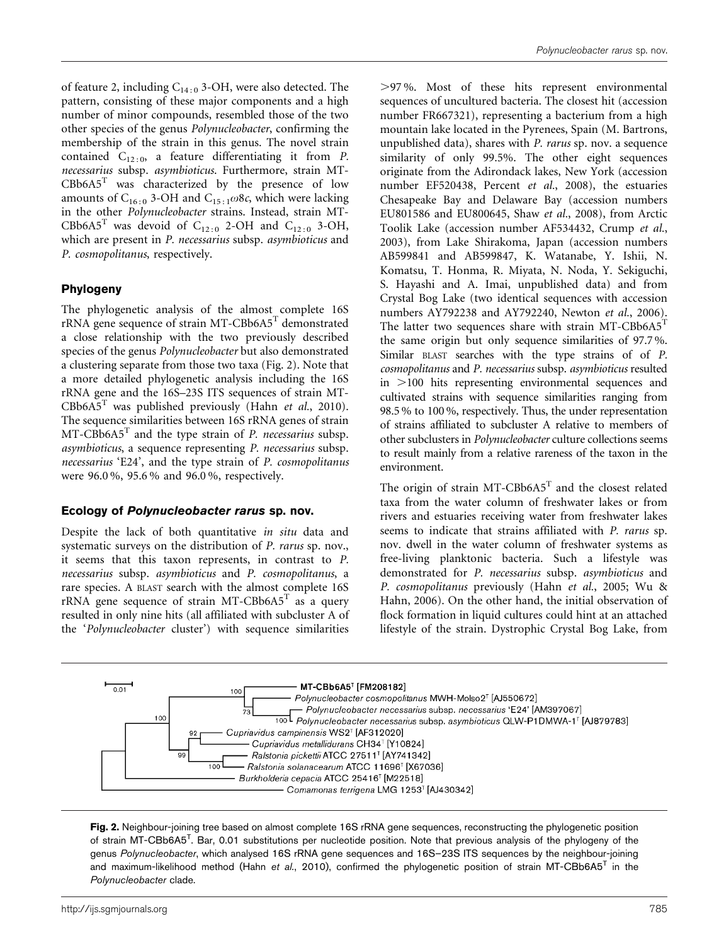<span id="page-4-0"></span>of feature 2, including  $C_{14:0}$  3-OH, were also detected. The pattern, consisting of these major components and a high number of minor compounds, resembled those of the two other species of the genus Polynucleobacter, confirming the membership of the strain in this genus. The novel strain contained  $C_{12:0}$ , a feature differentiating it from P. necessarius subsp. asymbioticus. Furthermore, strain MT- $C\text{Bb6A5}^T$  was characterized by the presence of low amounts of C<sub>16:0</sub> 3-OH and C<sub>15:1</sub> $\omega$ 8c, which were lacking in the other Polynucleobacter strains. Instead, strain MT-CBb6A5<sup>T</sup> was devoid of C<sub>12:0</sub> 2-OH and C<sub>12:0</sub> 3-OH, which are present in P. necessarius subsp. asymbioticus and P. cosmopolitanus, respectively.

## Phylogeny

The phylogenetic analysis of the almost complete 16S rRNA gene sequence of strain MT-CBb6A5<sup>T</sup> demonstrated a close relationship with the two previously described species of the genus Polynucleobacter but also demonstrated a clustering separate from those two taxa (Fig. 2). Note that a more detailed phylogenetic analysis including the 16S rRNA gene and the 16S–23S ITS sequences of strain MT- $C\text{Bb6A5}^T$  was published previously (Hahn et al.[, 2010\)](#page-5-0). The sequence similarities between 16S rRNA genes of strain  $MT-CBb6A5<sup>T</sup>$  and the type strain of *P. necessarius* subsp. asymbioticus, a sequence representing P. necessarius subsp. necessarius 'E24', and the type strain of P. cosmopolitanus were 96.0 %, 95.6 % and 96.0 %, respectively.

## Ecology of Polynucleobacter rarus sp. nov.

Despite the lack of both quantitative in situ data and systematic surveys on the distribution of P. rarus sp. nov., it seems that this taxon represents, in contrast to P. necessarius subsp. asymbioticus and P. cosmopolitanus, a rare species. A BLAST search with the almost complete 16S rRNA gene sequence of strain MT-CBb6A5<sup>T</sup> as a query resulted in only nine hits (all affiliated with subcluster A of the 'Polynucleobacter cluster') with sequence similarities

.97 %. Most of these hits represent environmental sequences of uncultured bacteria. The closest hit (accession number FR667321), representing a bacterium from a high mountain lake located in the Pyrenees, Spain (M. Bartrons, unpublished data), shares with P. rarus sp. nov. a sequence similarity of only 99.5%. The other eight sequences originate from the Adirondack lakes, New York (accession number EF520438, [Percent](#page-6-0) et al., 2008), the estuaries Chesapeake Bay and Delaware Bay (accession numbers EU801586 and EU800645, Shaw et al.[, 2008\)](#page-6-0), from Arctic Toolik Lake (accession number AF534432, [Crump](#page-5-0) et al., [2003\)](#page-5-0), from Lake Shirakoma, Japan (accession numbers AB599841 and AB599847, K. Watanabe, Y. Ishii, N. Komatsu, T. Honma, R. Miyata, N. Noda, Y. Sekiguchi, S. Hayashi and A. Imai, unpublished data) and from Crystal Bog Lake (two identical sequences with accession numbers AY792238 and AY792240, [Newton](#page-6-0) et al., 2006). The latter two sequences share with strain MT-CBb6A5<sup>T</sup> the same origin but only sequence similarities of 97.7 %. Similar BLAST searches with the type strains of of P. cosmopolitanus and P. necessarius subsp. asymbioticus resulted in  $>100$  hits representing environmental sequences and cultivated strains with sequence similarities ranging from 98.5 % to 100 %, respectively. Thus, the under representation of strains affiliated to subcluster A relative to members of other subclusters in Polynucleobacter culture collections seems to result mainly from a relative rareness of the taxon in the environment.

The origin of strain MT-CBb6A5 $^T$  and the closest related taxa from the water column of freshwater lakes or from rivers and estuaries receiving water from freshwater lakes seems to indicate that strains affiliated with P. rarus sp. nov. dwell in the water column of freshwater systems as free-living planktonic bacteria. Such a lifestyle was demonstrated for P. necessarius subsp. asymbioticus and P. cosmopolitanus previously (Hahn et al.[, 2005;](#page-5-0) [Wu &](#page-6-0) [Hahn, 2006](#page-6-0)). On the other hand, the initial observation of flock formation in liquid cultures could hint at an attached lifestyle of the strain. Dystrophic Crystal Bog Lake, from



Fig. 2. Neighbour-joining tree based on almost complete 16S rRNA gene sequences, reconstructing the phylogenetic position of strain MT-CBb6A5<sup>T</sup>. Bar, 0.01 substitutions per nucleotide position. Note that previous analysis of the phylogeny of the genus Polynucleobacter, which analysed 16S rRNA gene sequences and 16S–23S ITS sequences by the neighbour-joining and maximum-likelihood method (Hahn et al.[, 2010\)](#page-5-0), confirmed the phylogenetic position of strain MT-CBb6A5<sup>T</sup> in the Polynucleobacter clade.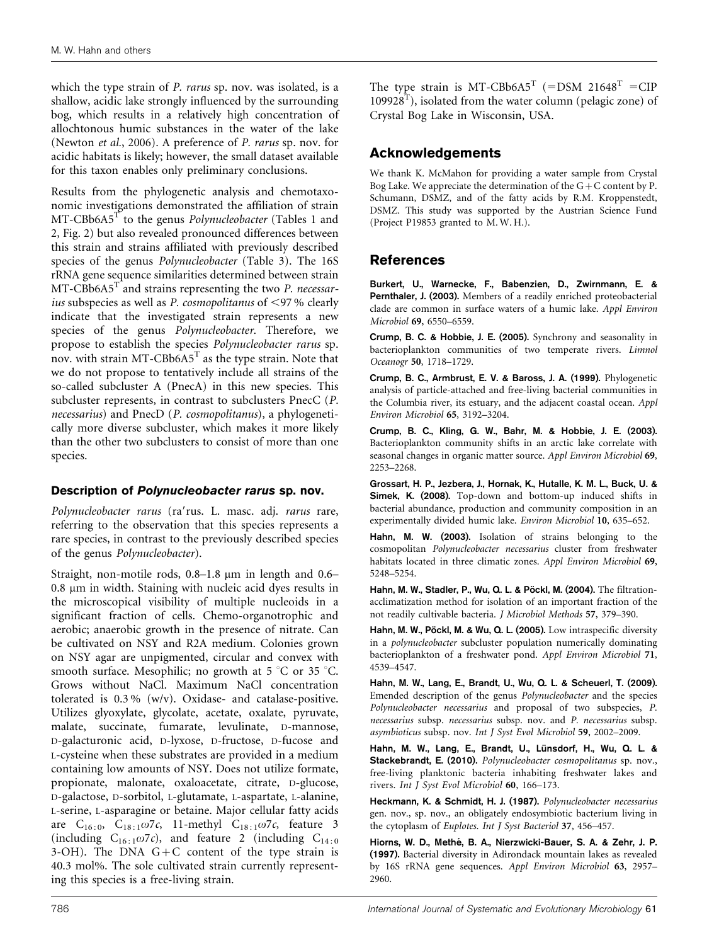<span id="page-5-0"></span>which the type strain of P. rarus sp. nov. was isolated, is a shallow, acidic lake strongly influenced by the surrounding bog, which results in a relatively high concentration of allochtonous humic substances in the water of the lake [\(Newton](#page-6-0) et al., 2006). A preference of P. rarus sp. nov. for acidic habitats is likely; however, the small dataset available for this taxon enables only preliminary conclusions.

Results from the phylogenetic analysis and chemotaxonomic investigations demonstrated the affiliation of strain  $MT\text{-}C\text{Bb6A5}^T$  to the genus *Polynucleobacter* [\(Tables 1](#page-1-0) and [2](#page-2-0), [Fig. 2](#page-4-0)) but also revealed pronounced differences between this strain and strains affiliated with previously described species of the genus Polynucleobacter [\(Table 3\)](#page-3-0). The 16S rRNA gene sequence similarities determined between strain  $MT$ -CBb6A5<sup>T</sup> and strains representing the two *P. necessar*ius subspecies as well as P. cosmopolitanus of  $\leq$ 97% clearly indicate that the investigated strain represents a new species of the genus Polynucleobacter. Therefore, we propose to establish the species Polynucleobacter rarus sp. nov. with strain MT-CBb $6A5<sup>T</sup>$  as the type strain. Note that we do not propose to tentatively include all strains of the so-called subcluster A (PnecA) in this new species. This subcluster represents, in contrast to subclusters PnecC (P. necessarius) and PnecD (P. cosmopolitanus), a phylogenetically more diverse subcluster, which makes it more likely than the other two subclusters to consist of more than one species.

#### Description of Polynucleobacter rarus sp. nov.

Polynucleobacter rarus (ra'rus. L. masc. adj. rarus rare, referring to the observation that this species represents a rare species, in contrast to the previously described species of the genus Polynucleobacter).

Straight, non-motile rods, 0.8–1.8 µm in length and 0.6–  $0.8 \mu m$  in width. Staining with nucleic acid dyes results in the microscopical visibility of multiple nucleoids in a significant fraction of cells. Chemo-organotrophic and aerobic; anaerobic growth in the presence of nitrate. Can be cultivated on NSY and R2A medium. Colonies grown on NSY agar are unpigmented, circular and convex with smooth surface. Mesophilic; no growth at  $5^{\circ}$ C or  $35^{\circ}$ C. Grows without NaCl. Maximum NaCl concentration tolerated is 0.3 % (w/v). Oxidase- and catalase-positive. Utilizes glyoxylate, glycolate, acetate, oxalate, pyruvate, malate, succinate, fumarate, levulinate, D-mannose, D-galacturonic acid, D-lyxose, D-fructose, D-fucose and L-cysteine when these substrates are provided in a medium containing low amounts of NSY. Does not utilize formate, propionate, malonate, oxaloacetate, citrate, D-glucose, D-galactose, D-sorbitol, L-glutamate, L-aspartate, L-alanine, L-serine, L-asparagine or betaine. Major cellular fatty acids are  $C_{16:0}$ ,  $C_{18:1}\omega$ 7c, 11-methyl  $C_{18:1}\omega$ 7c, feature 3 (including  $C_{16:1}\omega$ 7c), and feature 2 (including  $C_{14:0}$ 3-OH). The DNA  $G+C$  content of the type strain is 40.3 mol%. The sole cultivated strain currently representing this species is a free-living strain.

The type strain is MT-CBb6A5<sup>T</sup> (=DSM 21648<sup>T</sup> =CIP  $109928<sup>T</sup>$ ), isolated from the water column (pelagic zone) of Crystal Bog Lake in Wisconsin, USA.

# Acknowledgements

We thank K. McMahon for providing a water sample from Crystal Bog Lake. We appreciate the determination of the  $G+C$  content by P. Schumann, DSMZ, and of the fatty acids by R.M. Kroppenstedt, DSMZ. This study was supported by the Austrian Science Fund (Project P19853 granted to M. W. H.).

# References

Burkert, U., Warnecke, F., Babenzien, D., Zwirnmann, E. & Pernthaler, J. (2003). Members of a readily enriched proteobacterial clade are common in surface waters of a humic lake. Appl Environ Microbiol 69, 6550–6559.

Crump, B. C. & Hobbie, J. E. (2005). Synchrony and seasonality in bacterioplankton communities of two temperate rivers. Limnol Oceanogr 50, 1718–1729.

Crump, B. C., Armbrust, E. V. & Baross, J. A. (1999). Phylogenetic analysis of particle-attached and free-living bacterial communities in the Columbia river, its estuary, and the adjacent coastal ocean. Appl Environ Microbiol 65, 3192–3204.

Crump, B. C., Kling, G. W., Bahr, M. & Hobbie, J. E. (2003). Bacterioplankton community shifts in an arctic lake correlate with seasonal changes in organic matter source. Appl Environ Microbiol 69, 2253–2268.

Grossart, H. P., Jezbera, J., Hornak, K., Hutalle, K. M. L., Buck, U. & Simek, K. (2008). Top-down and bottom-up induced shifts in bacterial abundance, production and community composition in an experimentally divided humic lake. Environ Microbiol 10, 635–652.

Hahn, M. W. (2003). Isolation of strains belonging to the cosmopolitan Polynucleobacter necessarius cluster from freshwater habitats located in three climatic zones. Appl Environ Microbiol 69, 5248–5254.

Hahn, M. W., Stadler, P., Wu, Q. L. & Pöckl, M. (2004). The filtrationacclimatization method for isolation of an important fraction of the not readily cultivable bacteria. J Microbiol Methods 57, 379–390.

Hahn, M. W., Pöckl, M. & Wu, Q. L. (2005). Low intraspecific diversity in a polynucleobacter subcluster population numerically dominating bacterioplankton of a freshwater pond. Appl Environ Microbiol 71, 4539–4547.

Hahn, M. W., Lang, E., Brandt, U., Wu, Q. L. & Scheuerl, T. (2009). Emended description of the genus Polynucleobacter and the species Polynucleobacter necessarius and proposal of two subspecies, P. necessarius subsp. necessarius subsp. nov. and P. necessarius subsp. asymbioticus subsp. nov. Int J Syst Evol Microbiol 59, 2002–2009.

Hahn, M. W., Lang, E., Brandt, U., Lünsdorf, H., Wu, Q. L. & Stackebrandt, E. (2010). Polynucleobacter cosmopolitanus sp. nov., free-living planktonic bacteria inhabiting freshwater lakes and rivers. Int J Syst Evol Microbiol 60, 166–173.

Heckmann, K. & Schmidt, H. J. (1987). Polynucleobacter necessarius gen. nov., sp. nov., an obligately endosymbiotic bacterium living in the cytoplasm of Euplotes. Int J Syst Bacteriol 37, 456–457.

Hiorns, W. D., Methé, B. A., Nierzwicki-Bauer, S. A. & Zehr, J. P. (1997). Bacterial diversity in Adirondack mountain lakes as revealed by 16S rRNA gene sequences. Appl Environ Microbiol 63, 2957– 2960.